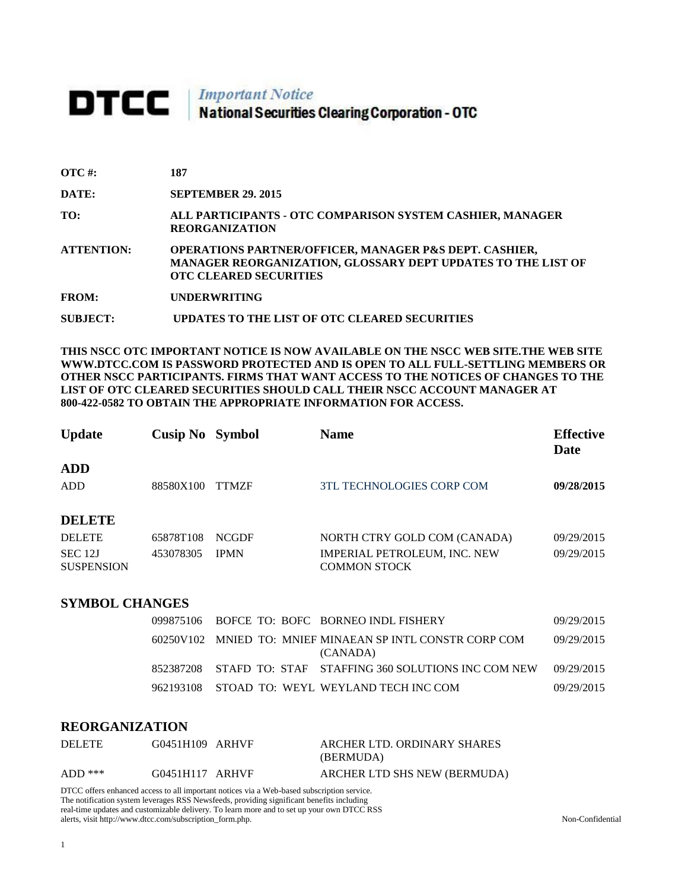## **DTCC** National Securities Clearing Corporation - OTC

| $\overline{OTC}$ #: | 187                                                                                                                                                                |
|---------------------|--------------------------------------------------------------------------------------------------------------------------------------------------------------------|
| DATE:               | <b>SEPTEMBER 29, 2015</b>                                                                                                                                          |
| TO:                 | ALL PARTICIPANTS - OTC COMPARISON SYSTEM CASHIER, MANAGER<br><b>REORGANIZATION</b>                                                                                 |
| <b>ATTENTION:</b>   | <b>OPERATIONS PARTNER/OFFICER, MANAGER P&amp;S DEPT. CASHIER,</b><br>MANAGER REORGANIZATION, GLOSSARY DEPT UPDATES TO THE LIST OF<br><b>OTC CLEARED SECURITIES</b> |
| <b>FROM:</b>        | <b>UNDERWRITING</b>                                                                                                                                                |
| SUBJECT:            | UPDATES TO THE LIST OF OTC CLEARED SECURITIES                                                                                                                      |

**THIS NSCC OTC IMPORTANT NOTICE IS NOW AVAILABLE ON THE NSCC WEB SITE.THE WEB SITE WWW.DTCC.COM IS PASSWORD PROTECTED AND IS OPEN TO ALL FULL-SETTLING MEMBERS OR OTHER NSCC PARTICIPANTS. FIRMS THAT WANT ACCESS TO THE NOTICES OF CHANGES TO THE LIST OF OTC CLEARED SECURITIES SHOULD CALL THEIR NSCC ACCOUNT MANAGER AT 800-422-0582 TO OBTAIN THE APPROPRIATE INFORMATION FOR ACCESS.** 

| <b>Update</b>                                                             | <b>Cusip No</b> Symbol |                             | <b>Name</b>                                                                                | <b>Effective</b><br>Date |
|---------------------------------------------------------------------------|------------------------|-----------------------------|--------------------------------------------------------------------------------------------|--------------------------|
| <b>ADD</b><br><b>ADD</b>                                                  | 88580X100              | <b>TTMZF</b>                | <b>3TL TECHNOLOGIES CORP COM</b>                                                           | 09/28/2015               |
| <b>DELETE</b><br><b>DELETE</b><br>SEC <sub>12J</sub><br><b>SUSPENSION</b> | 65878T108<br>453078305 | <b>NCGDF</b><br><b>IPMN</b> | NORTH CTRY GOLD COM (CANADA)<br><b>IMPERIAL PETROLEUM, INC. NEW</b><br><b>COMMON STOCK</b> | 09/29/2015<br>09/29/2015 |

## **SYMBOL CHANGES**

|  |  | 099875106 BOFCE TO: BOFC BORNEO INDL FISHERY                          | 09/29/2015 |
|--|--|-----------------------------------------------------------------------|------------|
|  |  | 60250V102 MNIED TO: MNIEF MINAEAN SP INTL CONSTR CORP COM<br>(CANADA) | 09/29/2015 |
|  |  | 852387208 STAFD TO: STAF STAFFING 360 SOLUTIONS INC COM NEW           | 09/29/2015 |
|  |  | 962193108 STOAD TO: WEYL WEYLAND TECH INC COM                         | 09/29/2015 |

## **REORGANIZATION**

| <b>DELETE</b> | G0451H109 ARHVF | ARCHER LTD. ORDINARY SHARES  |
|---------------|-----------------|------------------------------|
|               |                 | (BERMUDA)                    |
| $ADD$ ***     | G0451H117 ARHVF | ARCHER LTD SHS NEW (BERMUDA) |

DTCC offers enhanced access to all important notices via a Web-based subscription service. The notification system leverages RSS Newsfeeds, providing significant benefits including real-time updates and customizable delivery. To learn more and to set up your own DTCC RSS alerts, visit http://www.dtcc.com/subscription\_form.php. Non-Confidential